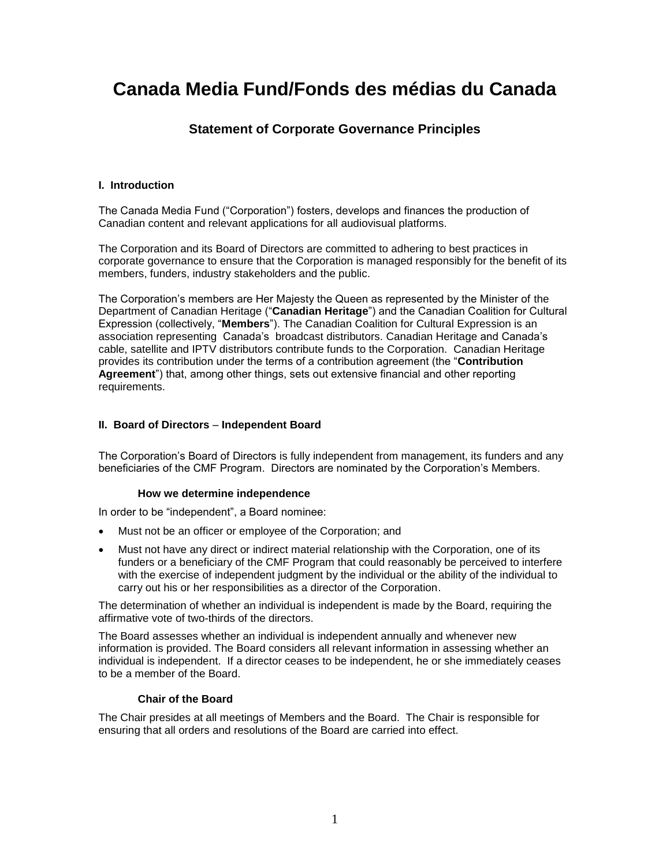# **Canada Media Fund/Fonds des médias du Canada**

# **Statement of Corporate Governance Principles**

## **I. Introduction**

The Canada Media Fund ("Corporation") fosters, develops and finances the production of Canadian content and relevant applications for all audiovisual platforms.

The Corporation and its Board of Directors are committed to adhering to best practices in corporate governance to ensure that the Corporation is managed responsibly for the benefit of its members, funders, industry stakeholders and the public.

The Corporation's members are Her Majesty the Queen as represented by the Minister of the Department of Canadian Heritage ("**Canadian Heritage**") and the Canadian Coalition for Cultural Expression (collectively, "**Members**"). The Canadian Coalition for Cultural Expression is an association representing Canada's broadcast distributors. Canadian Heritage and Canada's cable, satellite and IPTV distributors contribute funds to the Corporation. Canadian Heritage provides its contribution under the terms of a contribution agreement (the "**Contribution Agreement**") that, among other things, sets out extensive financial and other reporting requirements.

## **II. Board of Directors** – **Independent Board**

The Corporation's Board of Directors is fully independent from management, its funders and any beneficiaries of the CMF Program. Directors are nominated by the Corporation's Members.

## **How we determine independence**

In order to be "independent", a Board nominee:

- Must not be an officer or employee of the Corporation; and
- Must not have any direct or indirect material relationship with the Corporation, one of its funders or a beneficiary of the CMF Program that could reasonably be perceived to interfere with the exercise of independent judgment by the individual or the ability of the individual to carry out his or her responsibilities as a director of the Corporation.

The determination of whether an individual is independent is made by the Board, requiring the affirmative vote of two-thirds of the directors.

The Board assesses whether an individual is independent annually and whenever new information is provided. The Board considers all relevant information in assessing whether an individual is independent. If a director ceases to be independent, he or she immediately ceases to be a member of the Board.

## **Chair of the Board**

The Chair presides at all meetings of Members and the Board. The Chair is responsible for ensuring that all orders and resolutions of the Board are carried into effect.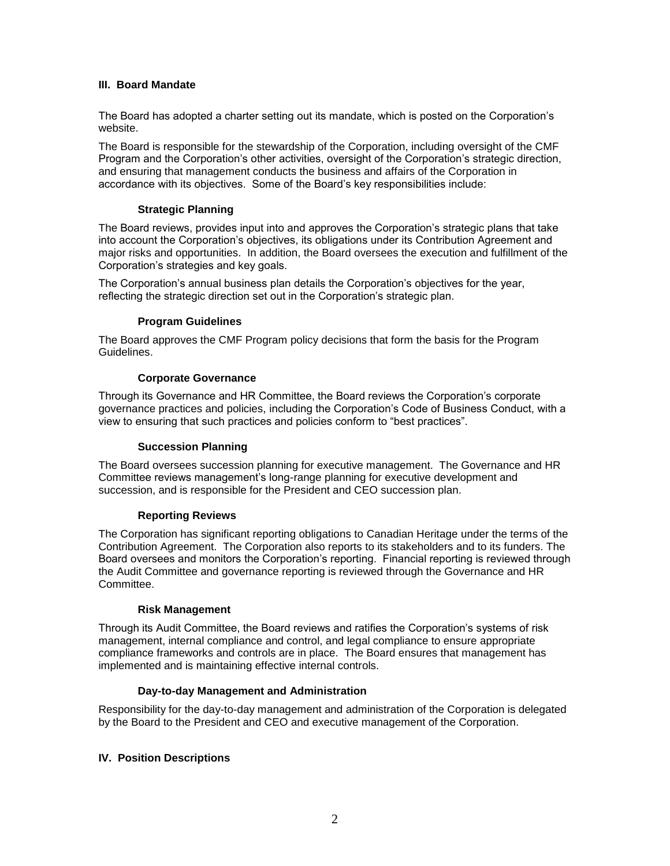## **III. Board Mandate**

The Board has adopted a charter setting out its mandate, which is posted on the Corporation's website.

The Board is responsible for the stewardship of the Corporation, including oversight of the CMF Program and the Corporation's other activities, oversight of the Corporation's strategic direction, and ensuring that management conducts the business and affairs of the Corporation in accordance with its objectives. Some of the Board's key responsibilities include:

## **Strategic Planning**

The Board reviews, provides input into and approves the Corporation's strategic plans that take into account the Corporation's objectives, its obligations under its Contribution Agreement and major risks and opportunities. In addition, the Board oversees the execution and fulfillment of the Corporation's strategies and key goals.

The Corporation's annual business plan details the Corporation's objectives for the year, reflecting the strategic direction set out in the Corporation's strategic plan.

## **Program Guidelines**

The Board approves the CMF Program policy decisions that form the basis for the Program Guidelines.

## **Corporate Governance**

Through its Governance and HR Committee, the Board reviews the Corporation's corporate governance practices and policies, including the Corporation's Code of Business Conduct, with a view to ensuring that such practices and policies conform to "best practices".

# **Succession Planning**

The Board oversees succession planning for executive management. The Governance and HR Committee reviews management's long-range planning for executive development and succession, and is responsible for the President and CEO succession plan.

## **Reporting Reviews**

The Corporation has significant reporting obligations to Canadian Heritage under the terms of the Contribution Agreement. The Corporation also reports to its stakeholders and to its funders. The Board oversees and monitors the Corporation's reporting. Financial reporting is reviewed through the Audit Committee and governance reporting is reviewed through the Governance and HR Committee.

## **Risk Management**

Through its Audit Committee, the Board reviews and ratifies the Corporation's systems of risk management, internal compliance and control, and legal compliance to ensure appropriate compliance frameworks and controls are in place. The Board ensures that management has implemented and is maintaining effective internal controls.

## **Day-to-day Management and Administration**

Responsibility for the day-to-day management and administration of the Corporation is delegated by the Board to the President and CEO and executive management of the Corporation.

# **IV. Position Descriptions**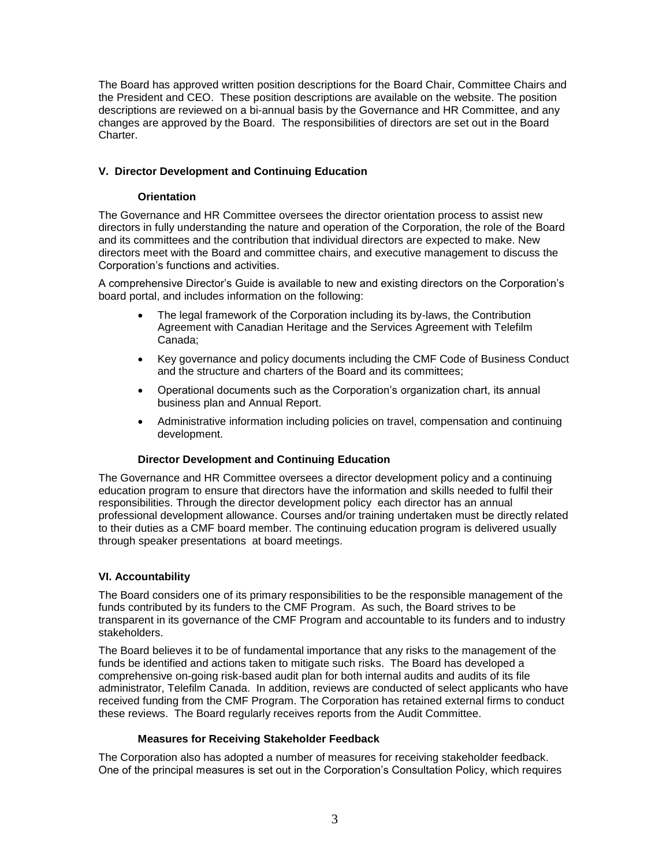The Board has approved written position descriptions for the Board Chair, Committee Chairs and the President and CEO. These position descriptions are available on the website. The position descriptions are reviewed on a bi-annual basis by the Governance and HR Committee, and any changes are approved by the Board. The responsibilities of directors are set out in the Board Charter.

# **V. Director Development and Continuing Education**

# **Orientation**

The Governance and HR Committee oversees the director orientation process to assist new directors in fully understanding the nature and operation of the Corporation, the role of the Board and its committees and the contribution that individual directors are expected to make. New directors meet with the Board and committee chairs, and executive management to discuss the Corporation's functions and activities.

A comprehensive Director's Guide is available to new and existing directors on the Corporation's board portal, and includes information on the following:

- The legal framework of the Corporation including its by-laws, the Contribution Agreement with Canadian Heritage and the Services Agreement with Telefilm Canada;
- Key governance and policy documents including the CMF Code of Business Conduct and the structure and charters of the Board and its committees;
- Operational documents such as the Corporation's organization chart, its annual business plan and Annual Report.
- Administrative information including policies on travel, compensation and continuing development.

# **Director Development and Continuing Education**

The Governance and HR Committee oversees a director development policy and a continuing education program to ensure that directors have the information and skills needed to fulfil their responsibilities. Through the director development policy each director has an annual professional development allowance. Courses and/or training undertaken must be directly related to their duties as a CMF board member. The continuing education program is delivered usually through speaker presentations at board meetings.

# **VI. Accountability**

The Board considers one of its primary responsibilities to be the responsible management of the funds contributed by its funders to the CMF Program. As such, the Board strives to be transparent in its governance of the CMF Program and accountable to its funders and to industry stakeholders.

The Board believes it to be of fundamental importance that any risks to the management of the funds be identified and actions taken to mitigate such risks. The Board has developed a comprehensive on-going risk-based audit plan for both internal audits and audits of its file administrator, Telefilm Canada. In addition, reviews are conducted of select applicants who have received funding from the CMF Program. The Corporation has retained external firms to conduct these reviews. The Board regularly receives reports from the Audit Committee.

# **Measures for Receiving Stakeholder Feedback**

The Corporation also has adopted a number of measures for receiving stakeholder feedback. One of the principal measures is set out in the Corporation's Consultation Policy, which requires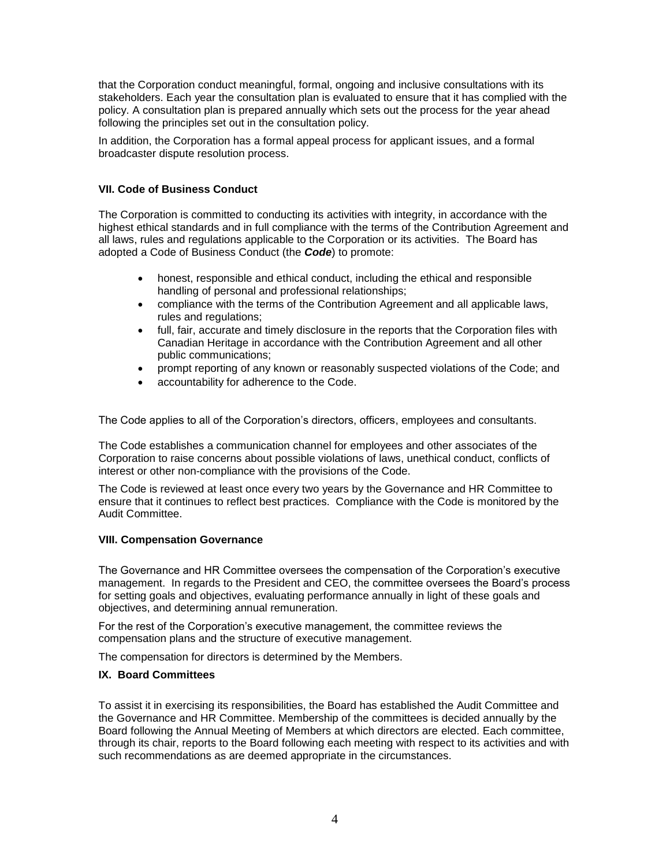that the Corporation conduct meaningful, formal, ongoing and inclusive consultations with its stakeholders. Each year the consultation plan is evaluated to ensure that it has complied with the policy. A consultation plan is prepared annually which sets out the process for the year ahead following the principles set out in the consultation policy.

In addition, the Corporation has a formal appeal process for applicant issues, and a formal broadcaster dispute resolution process.

## **VII. Code of Business Conduct**

The Corporation is committed to conducting its activities with integrity, in accordance with the highest ethical standards and in full compliance with the terms of the Contribution Agreement and all laws, rules and regulations applicable to the Corporation or its activities. The Board has adopted a Code of Business Conduct (the *Code*) to promote:

- honest, responsible and ethical conduct, including the ethical and responsible handling of personal and professional relationships;
- compliance with the terms of the Contribution Agreement and all applicable laws, rules and regulations;
- full, fair, accurate and timely disclosure in the reports that the Corporation files with Canadian Heritage in accordance with the Contribution Agreement and all other public communications;
- prompt reporting of any known or reasonably suspected violations of the Code; and
- accountability for adherence to the Code.

The Code applies to all of the Corporation's directors, officers, employees and consultants.

The Code establishes a communication channel for employees and other associates of the Corporation to raise concerns about possible violations of laws, unethical conduct, conflicts of interest or other non-compliance with the provisions of the Code.

The Code is reviewed at least once every two years by the Governance and HR Committee to ensure that it continues to reflect best practices. Compliance with the Code is monitored by the Audit Committee.

## **VIII. Compensation Governance**

The Governance and HR Committee oversees the compensation of the Corporation's executive management. In regards to the President and CEO, the committee oversees the Board's process for setting goals and objectives, evaluating performance annually in light of these goals and objectives, and determining annual remuneration.

For the rest of the Corporation's executive management, the committee reviews the compensation plans and the structure of executive management.

The compensation for directors is determined by the Members.

## **IX. Board Committees**

To assist it in exercising its responsibilities, the Board has established the Audit Committee and the Governance and HR Committee. Membership of the committees is decided annually by the Board following the Annual Meeting of Members at which directors are elected. Each committee, through its chair, reports to the Board following each meeting with respect to its activities and with such recommendations as are deemed appropriate in the circumstances.